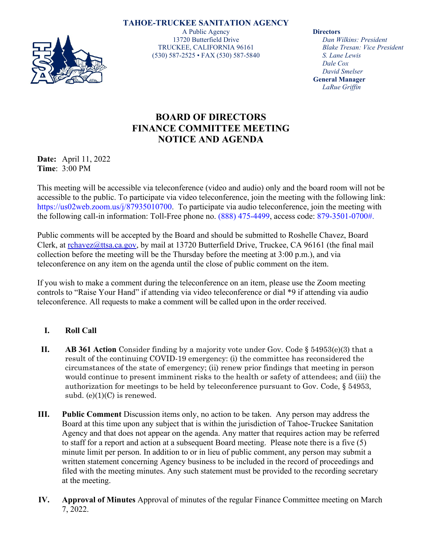**TAHOE-TRUCKEE SANITATION AGENCY** A Public Agency 13720 Butterfield Drive TRUCKEE, CALIFORNIA 96161 (530) 587-2525 • FAX (530) 587-5840

**Directors**

*Dan Wilkins: President Blake Tresan: Vice President S. Lane Lewis Dale Cox David Smelser* **General Manager** *LaRue Griffin*

## **BOARD OF DIRECTORS FINANCE COMMITTEE MEETING NOTICE AND AGENDA**

**Date:** April 11, 2022 **Time**: 3:00 PM

This meeting will be accessible via teleconference (video and audio) only and the board room will not be accessible to the public. To participate via video teleconference, join the meeting with the following link: https://us02web.zoom.us/j/87935010700. To participate via audio teleconference, join the meeting with the following call-in information: Toll-Free phone no. (888) 475-4499, access code: 879-3501-0700#.

Public comments will be accepted by the Board and should be submitted to Roshelle Chavez, Board Clerk, at [rchavez@ttsa.ca.gov,](mailto:rchavez@ttsa.ca.gov) by mail at 13720 Butterfield Drive, Truckee, CA 96161 (the final mail collection before the meeting will be the Thursday before the meeting at 3:00 p.m.), and via teleconference on any item on the agenda until the close of public comment on the item.

If you wish to make a comment during the teleconference on an item, please use the Zoom meeting controls to "Raise Your Hand" if attending via video teleconference or dial \*9 if attending via audio teleconference. All requests to make a comment will be called upon in the order received.

## **I. Roll Call**

- **II. AB 361 Action** Consider finding by a majority vote under Gov. Code § 54953(e)(3) that a result of the continuing COVID-19 emergency: (i) the committee has reconsidered the circumstances of the state of emergency; (ii) renew prior findings that meeting in person would continue to present imminent risks to the health or safety of attendees; and (iii) the authorization for meetings to be held by teleconference pursuant to Gov. Code, § 54953, subd.  $(e)(1)(C)$  is renewed.
- **III. Public Comment** Discussion items only, no action to be taken. Any person may address the Board at this time upon any subject that is within the jurisdiction of Tahoe-Truckee Sanitation Agency and that does not appear on the agenda. Any matter that requires action may be referred to staff for a report and action at a subsequent Board meeting. Please note there is a five (5) minute limit per person. In addition to or in lieu of public comment, any person may submit a written statement concerning Agency business to be included in the record of proceedings and filed with the meeting minutes. Any such statement must be provided to the recording secretary at the meeting.
- **IV. Approval of Minutes** Approval of minutes of the regular Finance Committee meeting on March 7, 2022.